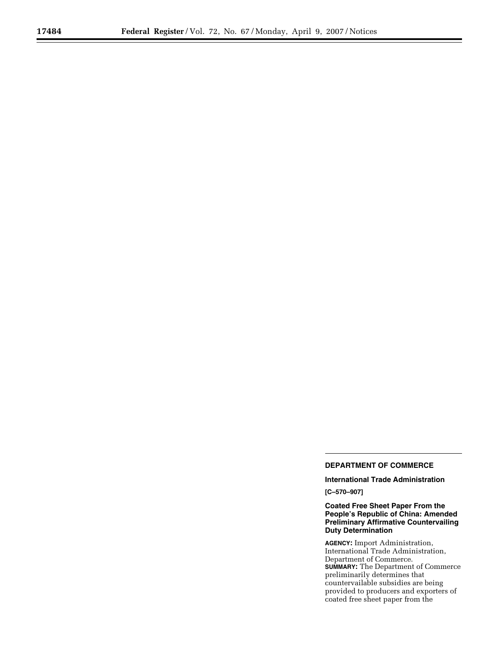# **DEPARTMENT OF COMMERCE**

**International Trade Administration** 

**[C–570–907]** 

# **Coated Free Sheet Paper From the People's Republic of China: Amended Preliminary Affirmative Countervailing Duty Determination**

**AGENCY:** Import Administration, International Trade Administration, Department of Commerce. **SUMMARY:** The Department of Commerce preliminarily determines that countervailable subsidies are being provided to producers and exporters of coated free sheet paper from the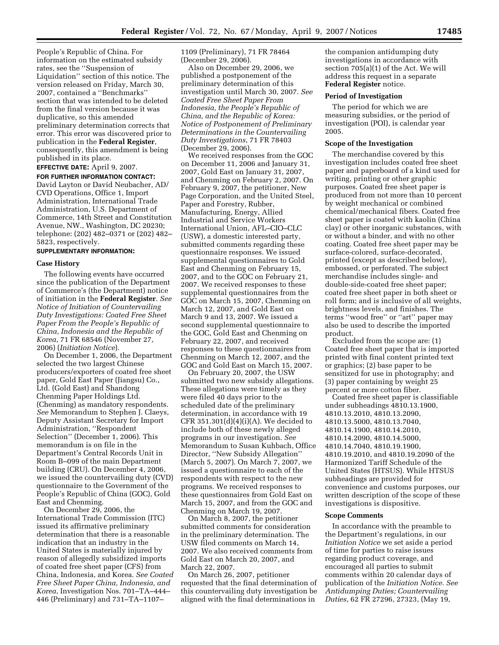People's Republic of China. For information on the estimated subsidy rates, see the ''Suspension of Liquidation'' section of this notice. The version released on Friday, March 30, 2007, contained a ''Benchmarks'' section that was intended to be deleted from the final version because it was duplicative, so this amended preliminary determination corrects that error. This error was discovered prior to publication in the **Federal Register**, consequently, this amendment is being published in its place.

# **EFFECTIVE DATE:** April 9, 2007.

**FOR FURTHER INFORMATION CONTACT:**  David Layton or David Neubacher, AD/ CVD Operations, Office 1, Import Administration, International Trade Administration, U.S. Department of Commerce, 14th Street and Constitution Avenue, NW., Washington, DC 20230; telephone: (202) 482–0371 or (202) 482– 5823, respectively.

# **SUPPLEMENTARY INFORMATION:**

#### **Case History**

The following events have occurred since the publication of the Department of Commerce's (the Department) notice of initiation in the **Federal Register**. *See Notice of Initiation of Countervailing Duty Investigations: Coated Free Sheet Paper From the People's Republic of China, Indonesia and the Republic of Korea*, 71 FR 68546 (November 27, 2006) (*Initiation Notice*).

On December 1, 2006, the Department selected the two largest Chinese producers/exporters of coated free sheet paper, Gold East Paper (Jiangsu) Co., Ltd. (Gold East) and Shandong Chenming Paper Holdings Ltd. (Chenming) as mandatory respondents. *See* Memorandum to Stephen J. Claeys, Deputy Assistant Secretary for Import Administration, ''Respondent Selection'' (December 1, 2006). This memorandum is on file in the Department's Central Records Unit in Room B–099 of the main Department building (CRU). On December 4, 2006, we issued the countervailing duty (CVD) questionnaire to the Government of the People's Republic of China (GOC), Gold East and Chenming.

On December 29, 2006, the International Trade Commission (ITC) issued its affirmative preliminary determination that there is a reasonable indication that an industry in the United States is materially injured by reason of allegedly subsidized imports of coated free sheet paper (CFS) from China, Indonesia, and Korea. *See Coated Free Sheet Paper China, Indonesia, and Korea*, Investigation Nos. 701–TA–444– 446 (Preliminary) and 731–TA–1107–

1109 (Preliminary), 71 FR 78464 (December 29, 2006).

Also on December 29, 2006, we published a postponement of the preliminary determination of this investigation until March 30, 2007. *See Coated Free Sheet Paper From Indonesia, the People's Republic of China, and the Republic of Korea: Notice of Postponement of Preliminary Determinations in the Countervailing Duty Investigations*, 71 FR 78403 (December 29, 2006).

We received responses from the GOC on December 11, 2006 and January 31, 2007, Gold East on January 31, 2007, and Chenming on February 2, 2007. On February 9, 2007, the petitioner, New Page Corporation, and the United Steel, Paper and Forestry, Rubber, Manufacturing, Energy, Allied Industrial and Service Workers International Union, AFL–CIO–CLC (USW), a domestic interested party, submitted comments regarding these questionnaire responses. We issued supplemental questionnaires to Gold East and Chenming on February 15, 2007, and to the GOC on February 21, 2007. We received responses to these supplemental questionnaires from the GOC on March 15, 2007, Chenming on March 12, 2007, and Gold East on March 9 and 13, 2007. We issued a second supplemental questionnaire to the GOC, Gold East and Chenming on February 22, 2007, and received responses to these questionnaires from Chenming on March 12, 2007, and the GOC and Gold East on March 15, 2007.

On February 20, 2007, the USW submitted two new subsidy allegations. These allegations were timely as they were filed 40 days prior to the scheduled date of the preliminary determination, in accordance with 19 CFR  $351.301(d)(4)(i)(A)$ . We decided to include both of these newly alleged programs in our investigation. *See*  Memorandum to Susan Kuhbach, Office Director, ''New Subsidy Allegation'' (March 5, 2007). On March 7, 2007, we issued a questionnaire to each of the respondents with respect to the new programs. We received responses to these questionnaires from Gold East on March 15, 2007, and from the GOC and Chenming on March 19, 2007.

On March 8, 2007, the petitioner submitted comments for consideration in the preliminary determination. The USW filed comments on March 14, 2007. We also received comments from Gold East on March 20, 2007, and March 22, 2007.

On March 26, 2007, petitioner requested that the final determination of this countervailing duty investigation be aligned with the final determinations in

the companion antidumping duty investigations in accordance with section 705(a)(1) of the Act. We will address this request in a separate **Federal Register** notice.

### **Period of Investigation**

The period for which we are measuring subsidies, or the period of investigation (POI), is calendar year 2005.

### **Scope of the Investigation**

The merchandise covered by this investigation includes coated free sheet paper and paperboard of a kind used for writing, printing or other graphic purposes. Coated free sheet paper is produced from not more than 10 percent by weight mechanical or combined chemical/mechanical fibers. Coated free sheet paper is coated with kaolin (China clay) or other inorganic substances, with or without a binder, and with no other coating. Coated free sheet paper may be surface-colored, surface-decorated, printed (except as described below), embossed, or perforated. The subject merchandise includes single- and double-side-coated free sheet paper; coated free sheet paper in both sheet or roll form; and is inclusive of all weights, brightness levels, and finishes. The terms ''wood free'' or ''art'' paper may also be used to describe the imported product.

Excluded from the scope are: (1) Coated free sheet paper that is imported printed with final content printed text or graphics; (2) base paper to be sensitized for use in photography; and (3) paper containing by weight 25 percent or more cotton fiber.

Coated free sheet paper is classifiable under subheadings 4810.13.1900, 4810.13.2010, 4810.13.2090, 4810.13.5000, 4810.13.7040, 4810.14.1900, 4810.14.2010, 4810.14.2090, 4810.14.5000, 4810.14.7040, 4810.19.1900, 4810.19.2010, and 4810.19.2090 of the Harmonized Tariff Schedule of the United States (HTSUS). While HTSUS subheadings are provided for convenience and customs purposes, our written description of the scope of these investigations is dispositive.

### **Scope Comments**

In accordance with the preamble to the Department's regulations, in our *Initiation Notice* we set aside a period of time for parties to raise issues regarding product coverage, and encouraged all parties to submit comments within 20 calendar days of publication of the *Initiation Notice. See Antidumping Duties; Countervailing Duties*, 62 FR 27296, 27323, (May 19,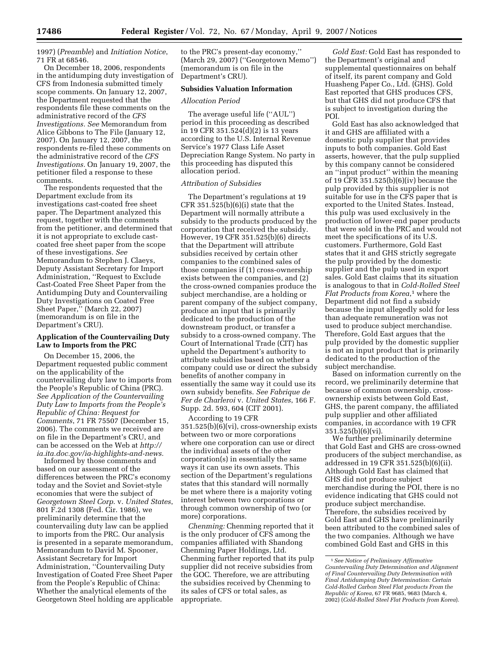1997) (*Preamble*) and *Initiation Notice*, 71 FR at 68546.

On December 18, 2006, respondents in the antidumping duty investigation of CFS from Indonesia submitted timely scope comments. On January 12, 2007, the Department requested that the respondents file these comments on the administrative record of the *CFS Investigations. See* Memorandum from Alice Gibbons to The File (January 12, 2007). On January 12, 2007, the respondents re-filed these comments on the administrative record of the *CFS Investigations.* On January 19, 2007, the petitioner filed a response to these comments.

The respondents requested that the Department exclude from its investigations cast-coated free sheet paper. The Department analyzed this request, together with the comments from the petitioner, and determined that it is not appropriate to exclude castcoated free sheet paper from the scope of these investigations. *See*  Memorandum to Stephen J. Claeys, Deputy Assistant Secretary for Import Administration, ''Request to Exclude Cast-Coated Free Sheet Paper from the Antidumping Duty and Countervailing Duty Investigations on Coated Free Sheet Paper,'' (March 22, 2007) (memorandum is on file in the Department's CRU).

### **Application of the Countervailing Duty Law to Imports from the PRC**

On December 15, 2006, the Department requested public comment on the applicability of the countervailing duty law to imports from the People's Republic of China (PRC). *See Application of the Countervailing Duty Law to Imports from the People's Republic of China: Request for Comments*, 71 FR 75507 (December 15, 2006). The comments we received are on file in the Department's CRU, and can be accessed on the Web at *http:// ia.ita.doc.gov/ia-highlights-and-news.* 

Informed by those comments and based on our assessment of the differences between the PRC's economy today and the Soviet and Soviet-style economies that were the subject of *Georgetown Steel Corp*. v. *United States*, 801 F.2d 1308 (Fed. Cir. 1986), we preliminarily determine that the countervailing duty law can be applied to imports from the PRC. Our analysis is presented in a separate memorandum, Memorandum to David M. Spooner, Assistant Secretary for Import Administration, ''Countervailing Duty Investigation of Coated Free Sheet Paper from the People's Republic of China: Whether the analytical elements of the Georgetown Steel holding are applicable

to the PRC's present-day economy,'' (March 29, 2007) (''Georgetown Memo'') (memorandum is on file in the Department's CRU).

# **Subsidies Valuation Information**

### *Allocation Period*

The average useful life (''AUL'') period in this proceeding as described in 19 CFR 351.524(d)(2) is 13 years according to the U.S. Internal Revenue Service's 1977 Class Life Asset Depreciation Range System. No party in this proceeding has disputed this allocation period.

### *Attribution of Subsidies*

The Department's regulations at 19 CFR  $351.\overline{5}25(b)(6)(i)$  state that the Department will normally attribute a subsidy to the products produced by the corporation that received the subsidy. However, 19 CFR 351.525(b)(6) directs that the Department will attribute subsidies received by certain other companies to the combined sales of those companies if (1) cross-ownership exists between the companies, and (2) the cross-owned companies produce the subject merchandise, are a holding or parent company of the subject company, produce an input that is primarily dedicated to the production of the downstream product, or transfer a subsidy to a cross-owned company. The Court of International Trade (CIT) has upheld the Department's authority to attribute subsidies based on whether a company could use or direct the subsidy benefits of another company in essentially the same way it could use its own subsidy benefits. *See Fabrique de Fer de Charleroi* v. *United States*, 166 F. Supp. 2d. 593, 604 (CIT 2001).

According to 19 CFR 351.525(b)(6)(vi), cross-ownership exists between two or more corporations where one corporation can use or direct the individual assets of the other corporation(s) in essentially the same ways it can use its own assets. This section of the Department's regulations states that this standard will normally be met where there is a majority voting interest between two corporations or through common ownership of two (or more) corporations.

*Chenming:* Chenming reported that it is the only producer of CFS among the companies affiliated with Shandong Chenming Paper Holdings, Ltd. Chenming further reported that its pulp supplier did not receive subsidies from the GOC. Therefore, we are attributing the subsidies received by Chenming to its sales of CFS or total sales, as appropriate.

*Gold East:* Gold East has responded to the Department's original and supplemental questionnaires on behalf of itself, its parent company and Gold Huasheng Paper Co., Ltd. (GHS). Gold East reported that GHS produces CFS, but that GHS did not produce CFS that is subject to investigation during the POI.

Gold East has also acknowledged that it and GHS are affiliated with a domestic pulp supplier that provides inputs to both companies. Gold East asserts, however, that the pulp supplied by this company cannot be considered an ''input product'' within the meaning of 19 CFR 351.525(b)(6)(iv) because the pulp provided by this supplier is not suitable for use in the CFS paper that is exported to the United States. Instead, this pulp was used exclusively in the production of lower-end paper products that were sold in the PRC and would not meet the specifications of its U.S. customers. Furthermore, Gold East states that it and GHS strictly segregate the pulp provided by the domestic supplier and the pulp used in export sales. Gold East claims that its situation is analogous to that in *Cold-Rolled Steel Flat Products from Korea*,<sup>1</sup> where the Department did not find a subsidy because the input allegedly sold for less than adequate remuneration was not used to produce subject merchandise. Therefore, Gold East argues that the pulp provided by the domestic supplier is not an input product that is primarily dedicated to the production of the subject merchandise.

Based on information currently on the record, we preliminarily determine that because of common ownership, crossownership exists between Gold East, GHS, the parent company, the affiliated pulp supplier and other affiliated companies, in accordance with 19 CFR 351.525(b)(6)(vi).

We further preliminarily determine that Gold East and GHS are cross-owned producers of the subject merchandise, as addressed in 19 CFR 351.525(b)(6)(ii). Although Gold East has claimed that GHS did not produce subject merchandise during the POI, there is no evidence indicating that GHS could not produce subject merchandise. Therefore, the subsidies received by Gold East and GHS have preliminarily been attributed to the combined sales of the two companies. Although we have combined Gold East and GHS in this

<sup>1</sup>*See Notice of Preliminary Affirmative Countervailing Duty Determination and Alignment of Final Countervailing Duty Determination with Final Antidumping Duty Determination: Certain Cold-Rolled Carbon Steel Flat products From the Republic of Korea*, 67 FR 9685, 9683 (March 4, 2002) (*Cold-Rolled Steel Flat Products from Korea*).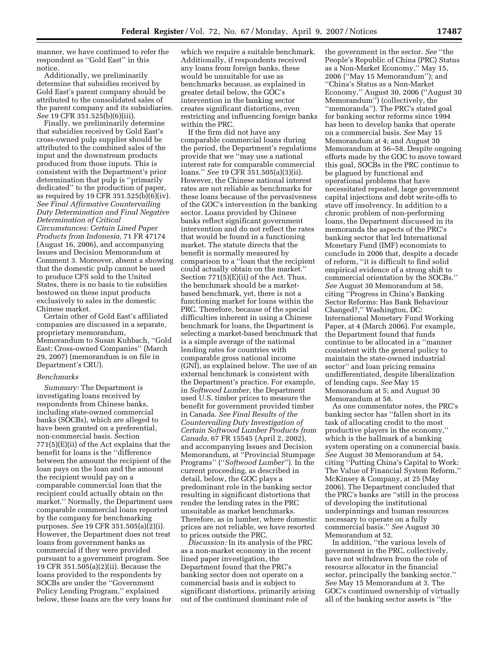manner, we have continued to refer the respondent as ''Gold East'' in this notice.

Additionally, we preliminarily determine that subsidies received by Gold East's parent company should be attributed to the consolidated sales of the parent company and its subsidiaries. *See* 19 CFR 351.525(b)(6)(iii).

Finally, we preliminarily determine that subsidies received by Gold East's cross-owned pulp supplier should be attributed to the combined sales of the input and the downstream products produced from those inputs. This is consistent with the Department's prior determination that pulp is ''primarily dedicated'' to the production of paper, as required by 19 CFR 351.525(b)(6)(iv). *See Final Affirmative Countervailing Duty Determination and Final Negative Determination of Critical Circumstances: Certain Lined Paper Products from Indonesia,* 71 FR 47174 (August 16, 2006), and accompanying Issues and Decision Memorandum at Comment 3. Moreover, absent a showing that the domestic pulp cannot be used to produce CFS sold to the United States, there is no basis to tie subsidies bestowed on these input products exclusively to sales in the domestic Chinese market.

Certain other of Gold East's affiliated companies are discussed in a separate, proprietary memorandum, Memorandum to Susan Kuhbach, ''Gold East: Cross-owned Companies'' (March 29, 2007) (memorandum is on file in Department's CRU).

### *Benchmarks*

*Summary:* The Department is investigating loans received by respondents from Chinese banks, including state-owned commercial banks (SOCBs), which are alleged to have been granted on a preferential, non-commercial basis. Section 771(5)(E)(ii) of the Act explains that the benefit for loans is the ''difference between the amount the recipient of the loan pays on the loan and the amount the recipient would pay on a comparable commercial loan that the recipient could actually obtain on the market.'' Normally, the Department uses comparable commercial loans reported by the company for benchmarking purposes. *See* 19 CFR 351.505(a)(2)(i). However, the Department does not treat loans from government banks as commercial if they were provided pursuant to a government program. See 19 CFR 351.505(a)(2)(ii). Because the loans provided to the respondents by SOCBs are under the ''Government Policy Lending Program,'' explained below, these loans are the very loans for

which we require a suitable benchmark. Additionally, if respondents received any loans from foreign banks, these would be unsuitable for use as benchmarks because, as explained in greater detail below, the GOC's intervention in the banking sector creates significant distortions, even restricting and influencing foreign banks within the PRC.

If the firm did not have any comparable commercial loans during the period, the Department's regulations provide that we ''may use a national interest rate for comparable commercial loans.'' *See* 19 CFR 351.505(a)(3)(ii). However, the Chinese national interest rates are not reliable as benchmarks for these loans because of the pervasiveness of the GOC's intervention in the banking sector. Loans provided by Chinese banks reflect significant government intervention and do not reflect the rates that would be found in a functioning market. The statute directs that the benefit is normally measured by comparison to a ''loan that the recipient could actually obtain on the market.'' Section 771(5)(E)(ii) of the Act. Thus, the benchmark should be a marketbased benchmark, yet, there is not a functioning market for loans within the PRC. Therefore, because of the special difficulties inherent in using a Chinese benchmark for loans, the Department is selecting a market-based benchmark that is a simple average of the national lending rates for countries with comparable gross national income (GNI), as explained below. The use of an external benchmark is consistent with the Department's practice. For example, in *Softwood Lumber*, the Department used U.S. timber prices to measure the benefit for government provided timber in Canada. *See Final Results of the Countervailing Duty Investigation of Certain Softwood Lumber Products from Canada,* 67 FR 15545 (April 2, 2002), and accompanying Issues and Decision Memorandum, at ''Provincial Stumpage Programs'' (''*Softwood Lumber*''). In the current proceeding, as described in detail, below, the GOC plays a predominant role in the banking sector resulting in significant distortions that render the lending rates in the PRC unsuitable as market benchmarks. Therefore, as in lumber, where domestic prices are not reliable, we have resorted to prices outside the PRC.

*Discussion:* In its analysis of the PRC as a non-market economy in the recent lined paper investigation, the Department found that the PRC's banking sector does not operate on a commercial basis and is subject to significant distortions, primarily arising out of the continued dominant role of

the government in the sector. *See* ''the People's Republic of China (PRC) Status as a Non-Market Economy,'' May 15, 2006 (''May 15 Memorandum''); and ''China's Status as a Non-Market Economy,'' August 30, 2006 (''August 30 Memorandum'') (collectively, the ''memoranda''). The PRC's stated goal for banking sector reforms since 1994 has been to develop banks that operate on a commercial basis. *See* May 15 Memorandum at 4; and August 30 Memorandum at 56–58. Despite ongoing efforts made by the GOC to move toward this goal, SOCBs in the PRC continue to be plagued by functional and operational problems that have necessitated repeated, large government capital injections and debt write-offs to stave off insolvency. In addition to a chronic problem of non-performing loans, the Department discussed in its memoranda the aspects of the PRC's banking sector that led International Monetary Fund (IMF) economists to conclude in 2006 that, despite a decade of reform, ''it is difficult to find solid empirical evidence of a strong shift to commercial orientation by the SOCBs.'' *See* August 30 Memorandum at 58, citing ''Progress in China's Banking Sector Reforms: Has Bank Behaviour Changed?,'' Washington, DC: International Monetary Fund Working Paper, at 4 (March 2006). For example, the Department found that funds continue to be allocated in a ''manner consistent with the general policy to maintain the state-owned industrial sector'' and loan pricing remains undifferentiated, despite liberalization of lending caps. *See* May 15 Memorandum at 5; and August 30 Memorandum at 58.

As one commentator notes, the PRC's banking sector has ''fallen short in its task of allocating credit to the most productive players in the economy,'' which is the hallmark of a banking system operating on a commercial basis. *See* August 30 Memorandum at 54, citing ''Putting China's Capital to Work: The Value of Financial System Reform,'' McKinsey & Company, at 25 (May 2006). The Department concluded that the PRC's banks are ''still in the process of developing the institutional underpinnings and human resources necessary to operate on a fully commercial basis.'' *See* August 30 Memorandum at 52.

In addition, ''the various levels of government in the PRC, collectively, have not withdrawn from the role of resource allocator in the financial sector, principally the banking sector.'' *See* May 15 Memorandum at 3. The GOC's continued ownership of virtually all of the banking sector assets is ''the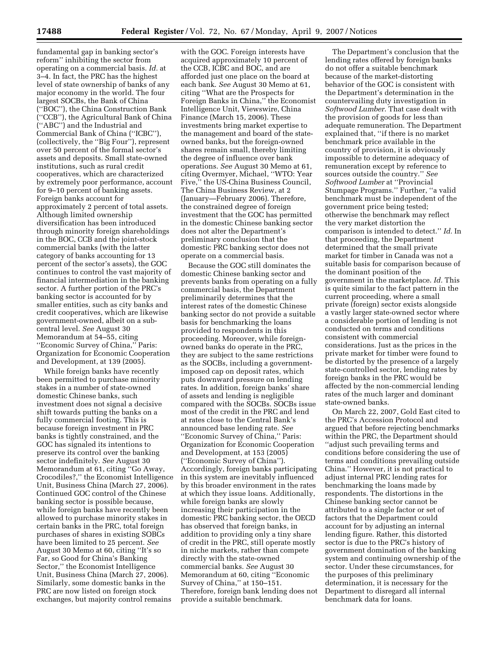fundamental gap in banking sector's reform'' inhibiting the sector from operating on a commercial basis. *Id.* at 3–4. In fact, the PRC has the highest level of state ownership of banks of any major economy in the world. The four largest SOCBs, the Bank of China (''BOC''), the China Construction Bank (''CCB''), the Agricultural Bank of China (''ABC'') and the Industrial and Commercial Bank of China (''ICBC''), (collectively, the ''Big Four''), represent over 50 percent of the formal sector's assets and deposits. Small state-owned institutions, such as rural credit cooperatives, which are characterized by extremely poor performance, account for 9–10 percent of banking assets. Foreign banks account for approximately 2 percent of total assets. Although limited ownership diversification has been introduced through minority foreign shareholdings in the BOC, CCB and the joint-stock commercial banks (with the latter category of banks accounting for 13 percent of the sector's assets), the GOC continues to control the vast majority of financial intermediation in the banking sector. A further portion of the PRC's banking sector is accounted for by smaller entities, such as city banks and credit cooperatives, which are likewise government-owned, albeit on a subcentral level. *See* August 30 Memorandum at 54–55, citing ''Economic Survey of China,'' Paris: Organization for Economic Cooperation and Development, at 139 (2005).

While foreign banks have recently been permitted to purchase minority stakes in a number of state-owned domestic Chinese banks, such investment does not signal a decisive shift towards putting the banks on a fully commercial footing. This is because foreign investment in PRC banks is tightly constrained, and the GOC has signaled its intentions to preserve its control over the banking sector indefinitely. *See* August 30 Memorandum at 61, citing ''Go Away, Crocodiles?,'' the Economist Intelligence Unit, Business China (March 27, 2006). Continued GOC control of the Chinese banking sector is possible because, while foreign banks have recently been allowed to purchase minority stakes in certain banks in the PRC, total foreign purchases of shares in existing SOBCs have been limited to 25 percent. *See*  August 30 Memo at 60, citing ''It's so Far, so Good for China's Banking Sector,'' the Economist Intelligence Unit, Business China (March 27, 2006). Similarly, some domestic banks in the PRC are now listed on foreign stock exchanges, but majority control remains

with the GOC. Foreign interests have acquired approximately 10 percent of the CCB, ICBC and BOC, and are afforded just one place on the board at each bank. *See* August 30 Memo at 61, citing ''What are the Prospects for Foreign Banks in China,'' the Economist Intelligence Unit, Viewswire, China Finance (March 15, 2006). These investments bring market expertise to the management and board of the stateowned banks, but the foreign-owned shares remain small, thereby limiting the degree of influence over bank operations. *See* August 30 Memo at 61, citing Overmyer, Michael, ''WTO: Year Five,'' the US-China Business Council, The China Business Review, at 2 (January—February 2006). Therefore, the constrained degree of foreign investment that the GOC has permitted in the domestic Chinese banking sector does not alter the Department's preliminary conclusion that the domestic PRC banking sector does not operate on a commercial basis.

Because the GOC still dominates the domestic Chinese banking sector and prevents banks from operating on a fully commercial basis, the Department preliminarily determines that the interest rates of the domestic Chinese banking sector do not provide a suitable basis for benchmarking the loans provided to respondents in this proceeding. Moreover, while foreignowned banks do operate in the PRC, they are subject to the same restrictions as the SOCBs, including a governmentimposed cap on deposit rates, which puts downward pressure on lending rates. In addition, foreign banks' share of assets and lending is negligible compared with the SOCBs. SOCBs issue most of the credit in the PRC and lend at rates close to the Central Bank's announced base lending rate. *See*  ''Economic Survey of China,'' Paris: Organization for Economic Cooperation and Development, at 153 (2005) (''Economic Survey of China''). Accordingly, foreign banks participating in this system are inevitably influenced by this broader environment in the rates at which they issue loans. Additionally, while foreign banks are slowly increasing their participation in the domestic PRC banking sector, the OECD has observed that foreign banks, in addition to providing only a tiny share of credit in the PRC, still operate mostly in niche markets, rather than compete directly with the state-owned commercial banks. *See* August 30 Memorandum at 60, citing ''Economic Survey of China,'' at 150–151. Therefore, foreign bank lending does not provide a suitable benchmark.

The Department's conclusion that the lending rates offered by foreign banks do not offer a suitable benchmark because of the market-distorting behavior of the GOC is consistent with the Department's determination in the countervailing duty investigation in *Softwood Lumber*. That case dealt with the provision of goods for less than adequate remuneration. The Department explained that, ''if there is no market benchmark price available in the country of provision, it is obviously impossible to determine adequacy of remuneration except by reference to sources outside the country.'' *See Softwood Lumber* at ''Provincial Stumpage Programs.'' Further, ''a valid benchmark must be independent of the government price being tested; otherwise the benchmark may reflect the very market distortion the comparison is intended to detect.'' *Id.* In that proceeding, the Department determined that the small private market for timber in Canada was not a suitable basis for comparison because of the dominant position of the government in the marketplace. *Id.* This is quite similar to the fact pattern in the current proceeding, where a small private (foreign) sector exists alongside a vastly larger state-owned sector where a considerable portion of lending is not conducted on terms and conditions consistent with commercial considerations. Just as the prices in the private market for timber were found to be distorted by the presence of a largely state-controlled sector, lending rates by foreign banks in the PRC would be affected by the non-commercial lending rates of the much larger and dominant state-owned banks.

On March 22, 2007, Gold East cited to the PRC's Accession Protocol and argued that before rejecting benchmarks within the PRC, the Department should ''adjust such prevailing terms and conditions before considering the use of terms and conditions prevailing outside China.'' However, it is not practical to adjust internal PRC lending rates for benchmarking the loans made by respondents. The distortions in the Chinese banking sector cannot be attributed to a single factor or set of factors that the Department could account for by adjusting an internal lending figure. Rather, this distorted sector is due to the PRC's history of government domination of the banking system and continuing ownership of the sector. Under these circumstances, for the purposes of this preliminary determination, it is necessary for the Department to disregard all internal benchmark data for loans.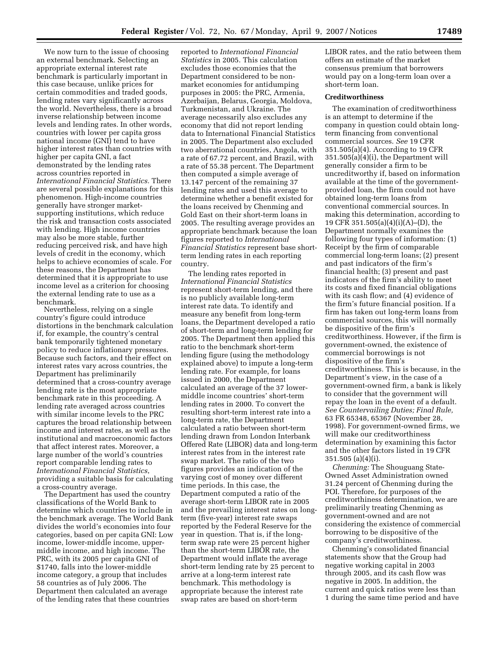We now turn to the issue of choosing an external benchmark. Selecting an appropriate external interest rate benchmark is particularly important in this case because, unlike prices for certain commodities and traded goods, lending rates vary significantly across the world. Nevertheless, there is a broad inverse relationship between income levels and lending rates. In other words, countries with lower per capita gross national income (GNI) tend to have higher interest rates than countries with higher per capita GNI, a fact demonstrated by the lending rates across countries reported in *International Financial Statistics.* There are several possible explanations for this phenomenon. High-income countries generally have stronger marketsupporting institutions, which reduce the risk and transaction costs associated with lending. High income countries may also be more stable, further reducing perceived risk, and have high levels of credit in the economy, which helps to achieve economies of scale. For these reasons, the Department has determined that it is appropriate to use income level as a criterion for choosing the external lending rate to use as a benchmark.

Nevertheless, relying on a single country's figure could introduce distortions in the benchmark calculation if, for example, the country's central bank temporarily tightened monetary policy to reduce inflationary pressures. Because such factors, and their effect on interest rates vary across countries, the Department has preliminarily determined that a cross-country average lending rate is the most appropriate benchmark rate in this proceeding. A lending rate averaged across countries with similar income levels to the PRC captures the broad relationship between income and interest rates, as well as the institutional and macroeconomic factors that affect interest rates. Moreover, a large number of the world's countries report comparable lending rates to *International Financial Statistics*, providing a suitable basis for calculating a cross-country average.

The Department has used the country classifications of the World Bank to determine which countries to include in the benchmark average. The World Bank divides the world's economies into four categories, based on per capita GNI: Low income, lower-middle income, uppermiddle income, and high income. The PRC, with its 2005 per capita GNI of \$1740, falls into the lower-middle income category, a group that includes 58 countries as of July 2006. The Department then calculated an average of the lending rates that these countries

reported to *International Financial Statistics* in 2005. This calculation excludes those economies that the Department considered to be nonmarket economies for antidumping purposes in 2005: the PRC, Armenia, Azerbaijan, Belarus, Georgia, Moldova, Turkmenistan, and Ukraine. The average necessarily also excludes any economy that did not report lending data to International Financial Statistics in 2005. The Department also excluded two aberrational countries, Angola, with a rate of 67.72 percent, and Brazil, with a rate of 55.38 percent. The Department then computed a simple average of 13.147 percent of the remaining 37 lending rates and used this average to determine whether a benefit existed for the loans received by Chenming and Gold East on their short-term loans in 2005. The resulting average provides an appropriate benchmark because the loan figures reported to *International Financial Statistics* represent base shortterm lending rates in each reporting country.

The lending rates reported in *International Financial Statistics*  represent short-term lending, and there is no publicly available long-term interest rate data. To identify and measure any benefit from long-term loans, the Department developed a ratio of short-term and long-term lending for 2005. The Department then applied this ratio to the benchmark short-term lending figure (using the methodology explained above) to impute a long-term lending rate. For example, for loans issued in 2000, the Department calculated an average of the 37 lowermiddle income countries' short-term lending rates in 2000. To convert the resulting short-term interest rate into a long-term rate, the Department calculated a ratio between short-term lending drawn from London Interbank Offered Rate (LIBOR) data and long-term interest rates from in the interest rate swap market. The ratio of the two figures provides an indication of the varying cost of money over different time periods. In this case, the Department computed a ratio of the average short-term LIBOR rate in 2005 and the prevailing interest rates on longterm (five-year) interest rate swaps reported by the Federal Reserve for the year in question. That is, if the longterm swap rate were 25 percent higher than the short-term LIBOR rate, the Department would inflate the average short-term lending rate by 25 percent to arrive at a long-term interest rate benchmark. This methodology is appropriate because the interest rate swap rates are based on short-term

LIBOR rates, and the ratio between them offers an estimate of the market consensus premium that borrowers would pay on a long-term loan over a short-term loan.

### **Creditworthiness**

The examination of creditworthiness is an attempt to determine if the company in question could obtain longterm financing from conventional commercial sources. *See* 19 CFR 351.505(a)(4). According to 19 CFR 351.505(a)(4)(i), the Department will generally consider a firm to be uncreditworthy if, based on information available at the time of the governmentprovided loan, the firm could not have obtained long-term loans from conventional commercial sources. In making this determination, according to 19 CFR 351.505(a)(4)(i)(A)–(D), the Department normally examines the following four types of information: (1) Receipt by the firm of comparable commercial long-term loans; (2) present and past indicators of the firm's financial health; (3) present and past indicators of the firm's ability to meet its costs and fixed financial obligations with its cash flow; and (4) evidence of the firm's future financial position. If a firm has taken out long-term loans from commercial sources, this will normally be dispositive of the firm's creditworthiness. However, if the firm is government-owned, the existence of commercial borrowings is not dispositive of the firm's creditworthiness. This is because, in the Department's view, in the case of a government-owned firm, a bank is likely to consider that the government will repay the loan in the event of a default. *See Countervailing Duties; Final Rule,*  63 FR 65348, 65367 (November 28, 1998). For government-owned firms, we will make our creditworthiness determination by examining this factor and the other factors listed in 19 CFR 351.505 (a)(4)(i).

*Chenming:* The Shouguang State-Owned Asset Administration owned 31.24 percent of Chenming during the POI. Therefore, for purposes of the creditworthiness determination, we are preliminarily treating Chenming as government-owned and are not considering the existence of commercial borrowing to be dispositive of the company's creditworthiness.

Chenming's consolidated financial statements show that the Group had negative working capital in 2003 through 2005, and its cash flow was negative in 2005. In addition, the current and quick ratios were less than 1 during the same time period and have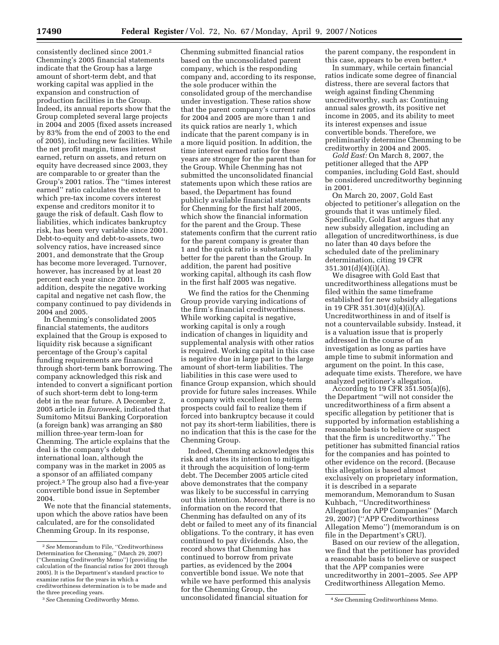consistently declined since 2001.2 Chenming's 2005 financial statements indicate that the Group has a large amount of short-term debt, and that working capital was applied in the expansion and construction of production facilities in the Group. Indeed, its annual reports show that the Group completed several large projects in 2004 and 2005 (fixed assets increased by 83% from the end of 2003 to the end of 2005), including new facilities. While the net profit margin, times interest earned, return on assets, and return on equity have decreased since 2003, they are comparable to or greater than the Group's 2001 ratios. The ''times interest earned'' ratio calculates the extent to which pre-tax income covers interest expense and creditors monitor it to gauge the risk of default. Cash flow to liabilities, which indicates bankruptcy risk, has been very variable since 2001. Debt-to-equity and debt-to-assets, two solvency ratios, have increased since 2001, and demonstrate that the Group has become more leveraged. Turnover, however, has increased by at least 20 percent each year since 2001. In addition, despite the negative working capital and negative net cash flow, the company continued to pay dividends in 2004 and 2005.

In Chenming's consolidated 2005 financial statements, the auditors explained that the Group is exposed to liquidity risk because a significant percentage of the Group's capital funding requirements are financed through short-term bank borrowing. The company acknowledged this risk and intended to convert a significant portion of such short-term debt to long-term debt in the near future. A December 2, 2005 article in *Euroweek*, indicated that Sumitomo Mitsui Banking Corporation (a foreign bank) was arranging an \$80 million three-year term-loan for Chenming. The article explains that the deal is the company's debut international loan, although the company was in the market in 2005 as a sponsor of an affiliated company project.3 The group also had a five-year convertible bond issue in September 2004.

We note that the financial statements, upon which the above ratios have been calculated, are for the consolidated Chenming Group. In its response,

Chenming submitted financial ratios based on the unconsolidated parent company, which is the responding company and, according to its response, the sole producer within the consolidated group of the merchandise under investigation. These ratios show that the parent company's current ratios for 2004 and 2005 are more than 1 and its quick ratios are nearly 1, which indicate that the parent company is in a more liquid position. In addition, the time interest earned ratios for these years are stronger for the parent than for the Group. While Chenming has not submitted the unconsolidated financial statements upon which these ratios are based, the Department has found publicly available financial statements for Chenming for the first half 2005, which show the financial information for the parent and the Group. These statements confirm that the current ratio for the parent company is greater than 1 and the quick ratio is substantially better for the parent than the Group. In addition, the parent had positive working capital, although its cash flow in the first half 2005 was negative.

We find the ratios for the Chenming Group provide varying indications of the firm's financial creditworthiness. While working capital is negative, working capital is only a rough indication of changes in liquidity and supplemental analysis with other ratios is required. Working capital in this case is negative due in large part to the large amount of short-term liabilities. The liabilities in this case were used to finance Group expansion, which should provide for future sales increases. While a company with excellent long-term prospects could fail to realize them if forced into bankruptcy because it could not pay its short-term liabilities, there is no indication that this is the case for the Chenming Group.

3*See* Chenming Creditworthy Memo. 4*See* Chenming Creditworthiness Memo. Indeed, Chenming acknowledges this risk and states its intention to mitigate it through the acquisition of long-term debt. The December 2005 article cited above demonstrates that the company was likely to be successful in carrying out this intention. Moreover, there is no information on the record that Chenming has defaulted on any of its debt or failed to meet any of its financial obligations. To the contrary, it has even continued to pay dividends. Also, the record shows that Chenming has continued to borrow from private parties, as evidenced by the 2004 convertible bond issue. We note that while we have performed this analysis for the Chenming Group, the unconsolidated financial situation for

the parent company, the respondent in this case, appears to be even better.4

In summary, while certain financial ratios indicate some degree of financial distress, there are several factors that weigh against finding Chenming uncreditworthy, such as: Continuing annual sales growth, its positive net income in 2005, and its ability to meet its interest expenses and issue convertible bonds. Therefore, we preliminarily determine Chenming to be creditworthy in 2004 and 2005.

*Gold East:* On March 8, 2007, the petitioner alleged that the APP companies, including Gold East, should be considered uncreditworthy beginning in 2001.

On March 20, 2007, Gold East objected to petitioner's allegation on the grounds that it was untimely filed. Specifically, Gold East argues that any new subsidy allegation, including an allegation of uncreditworthiness, is due no later than 40 days before the scheduled date of the preliminary determination, citing 19 CFR 351.301(d)(4)(i)(A).

We disagree with Gold East that uncreditworthiness allegations must be filed within the same timeframe established for new subsidy allegations in 19 CFR 351.301(d)(4)(i)(A). Uncreditworthiness in and of itself is not a countervailable subsidy. Instead, it is a valuation issue that is properly addressed in the course of an investigation as long as parties have ample time to submit information and argument on the point. In this case, adequate time exists. Therefore, we have analyzed petitioner's allegation.

According to 19 CFR 351.505(a)(6), the Department ''will not consider the uncreditworthiness of a firm absent a specific allegation by petitioner that is supported by information establishing a reasonable basis to believe or suspect that the firm is uncreditworthy.'' The petitioner has submitted financial ratios for the companies and has pointed to other evidence on the record. (Because this allegation is based almost exclusively on proprietary information, it is described in a separate memorandum, Memorandum to Susan Kuhbach, ''Uncreditworthiness Allegation for APP Companies'' (March 29, 2007) (''APP Creditworthiness Allegation Memo'') (memorandum is on file in the Department's CRU).

Based on our review of the allegation, we find that the petitioner has provided a reasonable basis to believe or suspect that the APP companies were uncreditworthy in 2001–2005. *See* APP Creditworthiness Allegation Memo.

<sup>2</sup>*See* Memorandum to File, ''Creditworthiness Determination for Chenming,'' (March 29, 2007) (''Chenming Creditworthy Memo'') (providing the calculation of the financial ratios for 2001 through 2005). It is the Department's standard practice to examine ratios for the years in which a creditworthiness determination is to be made and the three preceding years.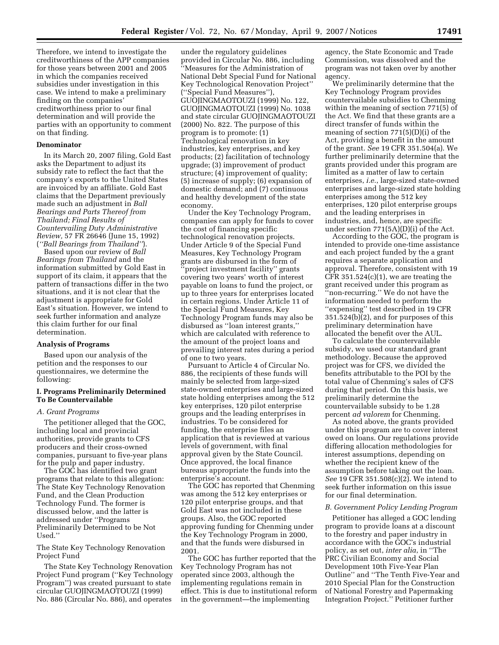Therefore, we intend to investigate the creditworthiness of the APP companies for those years between 2001 and 2005 in which the companies received subsidies under investigation in this case. We intend to make a preliminary finding on the companies' creditworthiness prior to our final determination and will provide the parties with an opportunity to comment on that finding.

### **Denominator**

In its March 20, 2007 filing, Gold East asks the Department to adjust its subsidy rate to reflect the fact that the company's exports to the United States are invoiced by an affiliate. Gold East claims that the Department previously made such an adjustment in *Ball Bearings and Parts Thereof from Thailand; Final Results of Countervailing Duty Administrative Review,* 57 FR 26646 (June 15, 1992) (*''Ball Bearings from Thailand''*).

Based upon our review of *Ball Bearings from Thailand* and the information submitted by Gold East in support of its claim, it appears that the pattern of transactions differ in the two situations, and it is not clear that the adjustment is appropriate for Gold East's situation. However, we intend to seek further information and analyze this claim further for our final determination.

### **Analysis of Programs**

Based upon our analysis of the petition and the responses to our questionnaires, we determine the following:

### **I. Programs Preliminarily Determined To Be Countervailable**

#### *A. Grant Programs*

The petitioner alleged that the GOC, including local and provincial authorities, provide grants to CFS producers and their cross-owned companies, pursuant to five-year plans for the pulp and paper industry.

The GOC has identified two grant programs that relate to this allegation: The State Key Technology Renovation Fund, and the Clean Production Technology Fund. The former is discussed below, and the latter is addressed under ''Programs Preliminarily Determined to be Not Used.''

The State Key Technology Renovation Project Fund

The State Key Technology Renovation Project Fund program (''Key Technology Program'') was created pursuant to state circular GUOJINGMAOTOUZI (1999) No. 886 (Circular No. 886), and operates

under the regulatory guidelines provided in Circular No. 886, including ''Measures for the Administration of National Debt Special Fund for National Key Technological Renovation Project'' (''Special Fund Measures''), GUOJINGMAOTOUZI (1999) No. 122, GUOJINGMAOTOUZI (1999) No. 1038 and state circular GUOJINGMAOTOUZI (2000) No. 822. The purpose of this program is to promote: (1) Technological renovation in key industries, key enterprises, and key products; (2) facilitation of technology upgrade; (3) improvement of product structure; (4) improvement of quality; (5) increase of supply; (6) expansion of domestic demand; and (7) continuous and healthy development of the state economy.

Under the Key Technology Program, companies can apply for funds to cover the cost of financing specific technological renovation projects. Under Article 9 of the Special Fund Measures, Key Technology Program grants are disbursed in the form of 'project investment facility'' grants covering two years' worth of interest payable on loans to fund the project, or up to three years for enterprises located in certain regions. Under Article 11 of the Special Fund Measures, Key Technology Program funds may also be disbursed as ''loan interest grants,'' which are calculated with reference to the amount of the project loans and prevailing interest rates during a period of one to two years.

Pursuant to Article 4 of Circular No. 886, the recipients of these funds will mainly be selected from large-sized state-owned enterprises and large-sized state holding enterprises among the 512 key enterprises, 120 pilot enterprise groups and the leading enterprises in industries. To be considered for funding, the enterprise files an application that is reviewed at various levels of government, with final approval given by the State Council. Once approved, the local finance bureaus appropriate the funds into the enterprise's account.

The GOC has reported that Chenming was among the 512 key enterprises or 120 pilot enterprise groups, and that Gold East was not included in these groups. Also, the GOC reported approving funding for Chenming under the Key Technology Program in 2000, and that the funds were disbursed in 2001.

The GOC has further reported that the Key Technology Program has not operated since 2003, although the implementing regulations remain in effect. This is due to institutional reform in the government—the implementing

agency, the State Economic and Trade Commission, was dissolved and the program was not taken over by another agency.

We preliminarily determine that the Key Technology Program provides countervailable subsidies to Chenming within the meaning of section 771(5) of the Act. We find that these grants are a direct transfer of funds within the meaning of section 771(5)(D)(i) of the Act, providing a benefit in the amount of the grant. *See* 19 CFR 351.504(a). We further preliminarily determine that the grants provided under this program are limited as a matter of law to certain enterprises, *i.e.*, large-sized state-owned enterprises and large-sized state holding enterprises among the 512 key enterprises, 120 pilot enterprise groups and the leading enterprises in industries, and, hence, are specific under section 771(5A)(D)(i) of the Act.

According to the GOC, the program is intended to provide one-time assistance and each project funded by the a grant requires a separate application and approval. Therefore, consistent with 19 CFR  $351.524(c)(1)$ , we are treating the grant received under this program as ''non-recurring.'' We do not have the information needed to perform the ''expensing'' test described in 19 CFR  $351.524(b)(2)$ , and for purposes of this preliminary determination have allocated the benefit over the AUL.

To calculate the countervailable subsidy, we used our standard grant methodology. Because the approved project was for CFS, we divided the benefits attributable to the POI by the total value of Chenming's sales of CFS during that period. On this basis, we preliminarily determine the countervailable subsidy to be 1.28 percent *ad valorem* for Chenming.

As noted above, the grants provided under this program are to cover interest owed on loans. Our regulations provide differing allocation methodologies for interest assumptions, depending on whether the recipient knew of the assumption before taking out the loan. *See* 19 CFR 351.508(c)(2). We intend to seek further information on this issue for our final determination.

### *B. Government Policy Lending Program*

Petitioner has alleged a GOC lending program to provide loans at a discount to the forestry and paper industry in accordance with the GOC's industrial policy, as set out, *inter alia*, in ''The PRC Civilian Economy and Social Development 10th Five-Year Plan Outline'' and ''The Tenth Five-Year and 2010 Special Plan for the Construction of National Forestry and Papermaking Integration Project.'' Petitioner further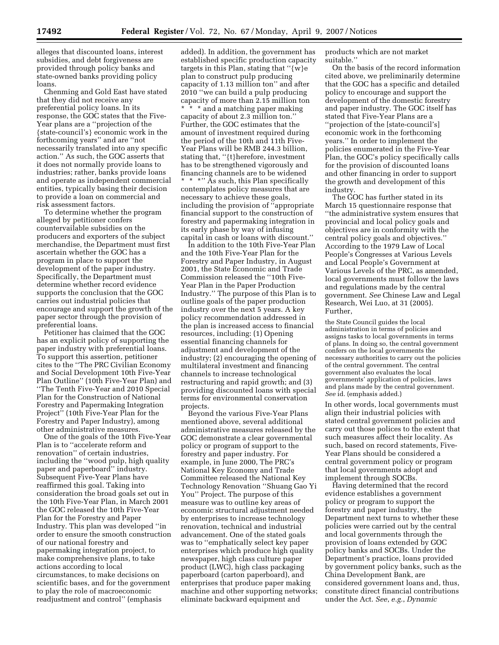alleges that discounted loans, interest subsidies, and debt forgiveness are provided through policy banks and state-owned banks providing policy loans.

Chenming and Gold East have stated that they did not receive any preferential policy loans. In its response, the GOC states that the Five-Year plans are a ''projection of the {state-council's} economic work in the forthcoming years'' and are ''not necessarily translated into any specific action.'' As such, the GOC asserts that it does not normally provide loans to industries; rather, banks provide loans and operate as independent commercial entities, typically basing their decision to provide a loan on commercial and risk assessment factors.

To determine whether the program alleged by petitioner confers countervailable subsidies on the producers and exporters of the subject merchandise, the Department must first ascertain whether the GOC has a program in place to support the development of the paper industry. Specifically, the Department must determine whether record evidence supports the conclusion that the GOC carries out industrial policies that encourage and support the growth of the paper sector through the provision of preferential loans.

Petitioner has claimed that the GOC has an explicit policy of supporting the paper industry with preferential loans. To support this assertion, petitioner cites to the ''The PRC Civilian Economy and Social Development 10th Five-Year Plan Outline'' (10th Five-Year Plan) and ''The Tenth Five-Year and 2010 Special Plan for the Construction of National Forestry and Papermaking Integration Project'' (10th Five-Year Plan for the Forestry and Paper Industry), among other administrative measures.

One of the goals of the 10th Five-Year Plan is to ''accelerate reform and renovation'' of certain industries, including the ''wood pulp, high quality paper and paperboard'' industry. Subsequent Five-Year Plans have reaffirmed this goal. Taking into consideration the broad goals set out in the 10th Five-Year Plan, in March 2001 the GOC released the 10th Five-Year Plan for the Forestry and Paper Industry. This plan was developed ''in order to ensure the smooth construction of our national forestry and papermaking integration project, to make comprehensive plans, to take actions according to local circumstances, to make decisions on scientific bases, and for the government to play the role of macroeconomic readjustment and control'' (emphasis

added). In addition, the government has established specific production capacity targets in this Plan, stating that " $\{w\}e$ plan to construct pulp producing capacity of 1.13 million ton'' and after 2010 ''we can build a pulp producing capacity of more than 2.15 million ton \* \* \* and a matching paper making capacity of about 2.3 million ton.'' Further, the GOC estimates that the amount of investment required during the period of the 10th and 11th Five-Year Plans will be RMB 244.3 billion, stating that, ''{t}herefore, investment has to be strengthened vigorously and financing channels are to be widened \* \* \*" As such, this Plan specifically contemplates policy measures that are necessary to achieve these goals,

including the provision of ''appropriate financial support to the construction of forestry and papermaking integration in its early phase by way of infusing capital in cash or loans with discount.''

In addition to the 10th Five-Year Plan and the 10th Five-Year Plan for the Forestry and Paper Industry, in August 2001, the State Economic and Trade Commission released the ''10th Five-Year Plan in the Paper Production Industry.'' The purpose of this Plan is to outline goals of the paper production industry over the next 5 years. A key policy recommendation addressed in the plan is increased access to financial resources, including: (1) Opening essential financing channels for adjustment and development of the industry; (2) encouraging the opening of multilateral investment and financing channels to increase technological restructuring and rapid growth; and (3) providing discounted loans with special terms for environmental conservation projects.

Beyond the various Five-Year Plans mentioned above, several additional administrative measures released by the GOC demonstrate a clear governmental policy or program of support to the forestry and paper industry. For example, in June 2000, The PRC's National Key Economy and Trade Committee released the National Key Technology Renovation ''Shuang Gao Yi You'' Project. The purpose of this measure was to outline key areas of economic structural adjustment needed by enterprises to increase technology renovation, technical and industrial advancement. One of the stated goals was to ''emphatically select key paper enterprises which produce high quality newspaper, high class culture paper product (LWC), high class packaging paperboard (carton paperboard), and enterprises that produce paper making machine and other supporting networks; eliminate backward equipment and

products which are not market suitable.''

On the basis of the record information cited above, we preliminarily determine that the GOC has a specific and detailed policy to encourage and support the development of the domestic forestry and paper industry. The GOC itself has stated that Five-Year Plans are a ''projection of the [state-council's] economic work in the forthcoming years.'' In order to implement the policies enumerated in the Five-Year Plan, the GOC's policy specifically calls for the provision of discounted loans and other financing in order to support the growth and development of this industry.

The GOC has further stated in its March 15 questionnaire response that ''the administrative system ensures that provincial and local policy goals and objectives are in conformity with the central policy goals and objectives.'' According to the 1979 Law of Local People's Congresses at Various Levels and Local People's Government at Various Levels of the PRC, as amended, local governments must follow the laws and regulations made by the central government. *See* Chinese Law and Legal Research, Wei Luo, at 31 (2005). Further,

the State Council guides the local administration in terms of policies and assigns tasks to local governments in terms of plans. In doing so, the central government confers on the local governments the necessary authorities to carry out the policies of the central government. The central government also evaluates the local governments' application of policies, laws and plans made by the central government. *See* id. (emphasis added.)

In other words, local governments must align their industrial policies with stated central government policies and carry out those polices to the extent that such measures affect their locality. As such, based on record statements, Five-Year Plans should be considered a central government policy or program that local governments adopt and implement through SOCBs.

Having determined that the record evidence establishes a government policy or program to support the forestry and paper industry, the Department next turns to whether these policies were carried out by the central and local governments through the provision of loans extended by GOC policy banks and SOCBs. Under the Department's practice, loans provided by government policy banks, such as the China Development Bank, are considered government loans and, thus, constitute direct financial contributions under the Act. *See*, *e.g.*, *Dynamic*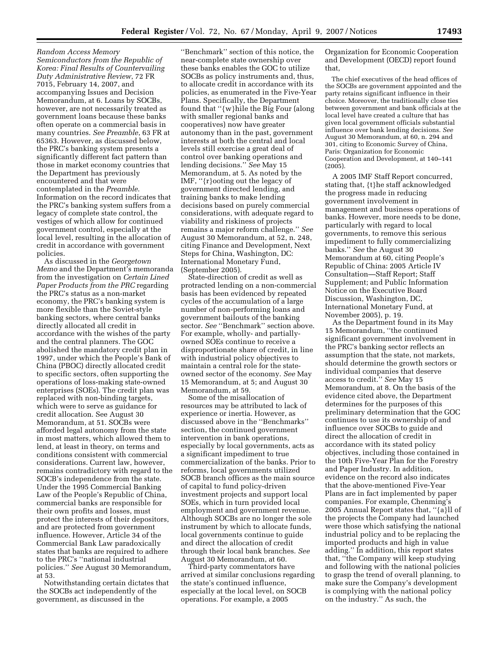*Random Access Memory Semiconductors from the Republic of Korea: Final Results of Countervailing Duty Administrative Review*, 72 FR 7015, February 14, 2007, and accompanying Issues and Decision Memorandum, at 6. Loans by SOCBs, however, are not necessarily treated as government loans because these banks often operate on a commercial basis in many countries. *See Preamble*, 63 FR at 65363. However, as discussed below, the PRC's banking system presents a significantly different fact pattern than those in market economy countries that the Department has previously encountered and that were contemplated in the *Preamble*. Information on the record indicates that the PRC's banking system suffers from a legacy of complete state control, the vestiges of which allow for continued government control, especially at the local level, resulting in the allocation of credit in accordance with government policies.

As discussed in the *Georgetown Memo* and the Department's memoranda from the investigation on *Certain Lined Paper Products from the PRC* regarding the PRC's status as a non-market economy, the PRC's banking system is more flexible than the Soviet-style banking sectors, where central banks directly allocated all credit in accordance with the wishes of the party and the central planners. The GOC abolished the mandatory credit plan in 1997, under which the People's Bank of China (PBOC) directly allocated credit to specific sectors, often supporting the operations of loss-making state-owned enterprises (SOEs). The credit plan was replaced with non-binding targets, which were to serve as guidance for credit allocation. See August 30 Memorandum, at 51. SOCBs were afforded legal autonomy from the state in most matters, which allowed them to lend, at least in theory, on terms and conditions consistent with commercial considerations. Current law, however, remains contradictory with regard to the SOCB's independence from the state. Under the 1995 Commercial Banking Law of the People's Republic of China, commercial banks are responsible for their own profits and losses, must protect the interests of their depositors, and are protected from government influence. However, Article 34 of the Commercial Bank Law paradoxically states that banks are required to adhere to the PRC's ''national industrial policies.'' *See* August 30 Memorandum, at 53.

Notwithstanding certain dictates that the SOCBs act independently of the government, as discussed in the

''Benchmark'' section of this notice, the near-complete state ownership over these banks enables the GOC to utilize SOCBs as policy instruments and, thus, to allocate credit in accordance with its policies, as enumerated in the Five-Year Plans. Specifically, the Department found that ''{w}hile the Big Four (along with smaller regional banks and cooperatives) now have greater autonomy than in the past, government interests at both the central and local levels still exercise a great deal of control over banking operations and lending decisions.'' *See* May 15 Memorandum, at 5. As noted by the IMF, ''{r}ooting out the legacy of government directed lending, and training banks to make lending decisions based on purely commercial considerations, with adequate regard to viability and riskiness of projects remains a major reform challenge.'' *See*  August 30 Memorandum, at 52, n. 248, citing Finance and Development, Next Steps for China, Washington, DC: International Monetary Fund, (September 2005).

State-direction of credit as well as protracted lending on a non-commercial basis has been evidenced by repeated cycles of the accumulation of a large number of non-performing loans and government bailouts of the banking sector. *See* ''Benchmark'' section above. For example, wholly- and partiallyowned SOEs continue to receive a disproportionate share of credit, in line with industrial policy objectives to maintain a central role for the stateowned sector of the economy. *See* May 15 Memorandum, at 5; and August 30 Memorandum, at 59.

Some of the misallocation of resources may be attributed to lack of experience or inertia. However, as discussed above in the ''Benchmarks'' section, the continued government intervention in bank operations, especially by local governments, acts as a significant impediment to true commercialization of the banks. Prior to reforms, local governments utilized SOCB branch offices as the main source of capital to fund policy-driven investment projects and support local SOEs, which in turn provided local employment and government revenue. Although SOCBs are no longer the sole instrument by which to allocate funds, local governments continue to guide and direct the allocation of credit through their local bank branches. *See*  August 30 Memorandum, at 60.

Third-party commentators have arrived at similar conclusions regarding the state's continued influence, especially at the local level, on SOCB operations. For example, a 2005

Organization for Economic Cooperation and Development (OECD) report found that,

The chief executives of the head offices of the SOCBs are government appointed and the party retains significant influence in their choice. Moreover, the traditionally close ties between government and bank officials at the local level have created a culture that has given local government officials substantial influence over bank lending decisions. *See*  August 30 Memorandum, at 60, n. 294 and 301, citing to Economic Survey of China, Paris: Organization for Economic Cooperation and Development, at 140–141  $(2005)$ .

A 2005 IMF Staff Report concurred, stating that, {t}he staff acknowledged the progress made in reducing government involvement in management and business operations of banks. However, more needs to be done, particularly with regard to local governments, to remove this serious impediment to fully commercializing banks.'' *See* the August 30 Memorandum at 60, citing People's Republic of China: 2005 Article IV Consultation—Staff Report; Staff Supplement; and Public Information Notice on the Executive Board Discussion, Washington, DC, International Monetary Fund, at November 2005), p. 19.

As the Department found in its May 15 Memorandum, ''the continued significant government involvement in the PRC's banking sector reflects an assumption that the state, not markets, should determine the growth sectors or individual companies that deserve access to credit.'' *See* May 15 Memorandum, at 8. On the basis of the evidence cited above, the Department determines for the purposes of this preliminary determination that the GOC continues to use its ownership of and influence over SOCBs to guide and direct the allocation of credit in accordance with its stated policy objectives, including those contained in the 10th Five-Year Plan for the Forestry and Paper Industry. In addition, evidence on the record also indicates that the above-mentioned Five-Year Plans are in fact implemented by paper companies. For example, Chenming's 2005 Annual Report states that, ''{a}ll of the projects the Company had launched were those which satisfying the national industrial policy and to be replacing the imported products and high in value adding.'' In addition, this report states that, ''the Company will keep studying and following with the national policies to grasp the trend of overall planning, to make sure the Company's development is complying with the national policy on the industry.'' As such, the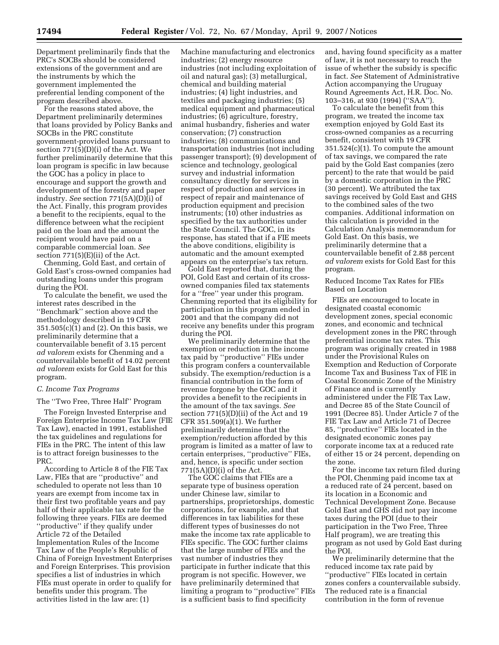Department preliminarily finds that the PRC's SOCBs should be considered extensions of the government and are the instruments by which the government implemented the preferential lending component of the program described above.

For the reasons stated above, the Department preliminarily determines that loans provided by Policy Banks and SOCBs in the PRC constitute government-provided loans pursuant to section 771(5)(D)(i) of the Act. We further preliminarily determine that this loan program is specific in law because the GOC has a policy in place to encourage and support the growth and development of the forestry and paper industry. *See* section 771(5A)(D)(i) of the Act. Finally, this program provides a benefit to the recipients, equal to the difference between what the recipient paid on the loan and the amount the recipient would have paid on a comparable commercial loan. *See*  section  $771(5)(E)(ii)$  of the Act.

Chenming, Gold East, and certain of Gold East's cross-owned companies had outstanding loans under this program during the POI.

To calculate the benefit, we used the interest rates described in the ''Benchmark'' section above and the methodology described in 19 CFR 351.505(c)(1) and (2). On this basis, we preliminarily determine that a countervailable benefit of 3.15 percent *ad valorem* exists for Chenming and a countervailable benefit of 14.02 percent *ad valorem* exists for Gold East for this program.

### *C. Income Tax Programs*

The ''Two Free, Three Half'' Program

The Foreign Invested Enterprise and Foreign Enterprise Income Tax Law (FIE Tax Law), enacted in 1991, established the tax guidelines and regulations for FIEs in the PRC. The intent of this law is to attract foreign businesses to the PRC.

According to Article 8 of the FIE Tax Law, FIEs that are ''productive'' and scheduled to operate not less than 10 years are exempt from income tax in their first two profitable years and pay half of their applicable tax rate for the following three years. FIEs are deemed ''productive'' if they qualify under Article 72 of the Detailed Implementation Rules of the Income Tax Law of the People's Republic of China of Foreign Investment Enterprises and Foreign Enterprises. This provision specifies a list of industries in which FIEs must operate in order to qualify for benefits under this program. The activities listed in the law are: (1)

Machine manufacturing and electronics industries; (2) energy resource industries (not including exploitation of oil and natural gas); (3) metallurgical, chemical and building material industries; (4) light industries, and textiles and packaging industries; (5) medical equipment and pharmaceutical industries; (6) agriculture, forestry, animal husbandry, fisheries and water conservation; (7) construction industries; (8) communications and transportation industries (not including passenger transport); (9) development of science and technology, geological survey and industrial information consultancy directly for services in respect of production and services in respect of repair and maintenance of production equipment and precision instruments; (10) other industries as specified by the tax authorities under the State Council. The GOC, in its response, has stated that if a FIE meets the above conditions, eligibility is automatic and the amount exempted appears on the enterprise's tax return.

Gold East reported that, during the POI, Gold East and certain of its crossowned companies filed tax statements for a ''free'' year under this program. Chenming reported that its eligibility for participation in this program ended in 2001 and that the company did not receive any benefits under this program during the POI.

We preliminarily determine that the exemption or reduction in the income tax paid by ''productive'' FIEs under this program confers a countervailable subsidy. The exemption/reduction is a financial contribution in the form of revenue forgone by the GOC and it provides a benefit to the recipients in the amount of the tax savings. *See*  section  $771(5)(D)(ii)$  of the Act and 19 CFR 351.509(a)(1). We further preliminarily determine that the exemption/reduction afforded by this program is limited as a matter of law to certain enterprises, ''productive'' FIEs, and, hence, is specific under section 771(5A)(D)(i) of the Act.

The GOC claims that FIEs are a separate type of business operation under Chinese law, similar to partnerships, proprietorships, domestic corporations, for example, and that differences in tax liabilities for these different types of businesses do not make the income tax rate applicable to FIEs specific. The GOC further claims that the large number of FIEs and the vast number of industries they participate in further indicate that this program is not specific. However, we have preliminarily determined that limiting a program to ''productive'' FIEs is a sufficient basis to find specificity

and, having found specificity as a matter of law, it is not necessary to reach the issue of whether the subsidy is specific in fact. *See* Statement of Administrative Action accompanying the Uruguay Round Agreements Act, H.R. Doc. No. 103–316, at 930 (1994) (''SAA'').

To calculate the benefit from this program, we treated the income tax exemption enjoyed by Gold East its cross-owned companies as a recurring benefit, consistent with 19 CFR 351.524(c)(1). To compute the amount of tax savings, we compared the rate paid by the Gold East companies (zero percent) to the rate that would be paid by a domestic corporation in the PRC (30 percent). We attributed the tax savings received by Gold East and GHS to the combined sales of the two companies. Additional information on this calculation is provided in the Calculation Analysis memorandum for Gold East. On this basis, we preliminarily determine that a countervailable benefit of 2.88 percent *ad valorem* exists for Gold East for this program.

Reduced Income Tax Rates for FIEs Based on Location

FIEs are encouraged to locate in designated coastal economic development zones, special economic zones, and economic and technical development zones in the PRC through preferential income tax rates. This program was originally created in 1988 under the Provisional Rules on Exemption and Reduction of Corporate Income Tax and Business Tax of FIE in Coastal Economic Zone of the Ministry of Finance and is currently administered under the FIE Tax Law, and Decree 85 of the State Council of 1991 (Decree 85). Under Article 7 of the FIE Tax Law and Article 71 of Decree 85, ''productive'' FIEs located in the designated economic zones pay corporate income tax at a reduced rate of either 15 or 24 percent, depending on the zone.

For the income tax return filed during the POI, Chenming paid income tax at a reduced rate of 24 percent, based on its location in a Economic and Technical Development Zone. Because Gold East and GHS did not pay income taxes during the POI (due to their participation in the Two Free, Three Half program), we are treating this program as not used by Gold East during the POI.

We preliminarily determine that the reduced income tax rate paid by ''productive'' FIEs located in certain zones confers a countervailable subsidy. The reduced rate is a financial contribution in the form of revenue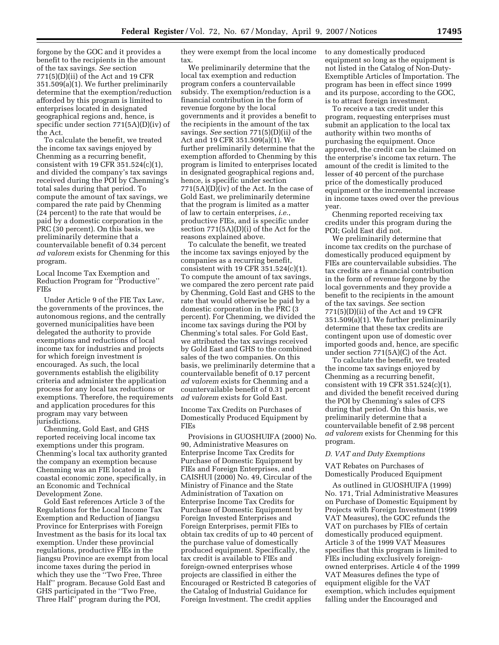forgone by the GOC and it provides a benefit to the recipients in the amount of the tax savings. *See* section 771(5)(D)(ii) of the Act and 19 CFR 351.509(a)(1). We further preliminarily determine that the exemption/reduction afforded by this program is limited to enterprises located in designated geographical regions and, hence, is specific under section 771(5A)(D)(iv) of the Act.

To calculate the benefit, we treated the income tax savings enjoyed by Chenming as a recurring benefit, consistent with 19 CFR 351.524(c)(1), and divided the company's tax savings received during the POI by Chenming's total sales during that period. To compute the amount of tax savings, we compared the rate paid by Chenming (24 percent) to the rate that would be paid by a domestic corporation in the PRC (30 percent). On this basis, we preliminarily determine that a countervailable benefit of 0.34 percent *ad valorem* exists for Chenming for this program.

Local Income Tax Exemption and Reduction Program for ''Productive'' FIEs

Under Article 9 of the FIE Tax Law, the governments of the provinces, the autonomous regions, and the centrally governed municipalities have been delegated the authority to provide exemptions and reductions of local income tax for industries and projects for which foreign investment is encouraged. As such, the local governments establish the eligibility criteria and administer the application process for any local tax reductions or exemptions. Therefore, the requirements and application procedures for this program may vary between jurisdictions.

Chenming, Gold East, and GHS reported receiving local income tax exemptions under this program. Chenming's local tax authority granted the company an exemption because Chenming was an FIE located in a coastal economic zone, specifically, in an Economic and Technical Development Zone.

Gold East references Article 3 of the Regulations for the Local Income Tax Exemption and Reduction of Jiangsu Province for Enterprises with Foreign Investment as the basis for its local tax exemption. Under these provincial regulations, productive FIEs in the Jiangsu Province are exempt from local income taxes during the period in which they use the ''Two Free, Three Half'' program. Because Gold East and GHS participated in the ''Two Free, Three Half'' program during the POI,

they were exempt from the local income tax.

We preliminarily determine that the local tax exemption and reduction program confers a countervailable subsidy. The exemption/reduction is a financial contribution in the form of revenue forgone by the local governments and it provides a benefit to the recipients in the amount of the tax savings. *See* section 771(5)(D)(ii) of the Act and 19 CFR 351.509(a)(1). We further preliminarily determine that the exemption afforded to Chenming by this program is limited to enterprises located in designated geographical regions and, hence, is specific under section 771(5A)(D)(iv) of the Act. In the case of Gold East, we preliminarily determine that the program is limited as a matter of law to certain enterprises, *i.e.*, productive FIEs, and is specific under section 771(5A)(D)(i) of the Act for the reasons explained above.

To calculate the benefit, we treated the income tax savings enjoyed by the companies as a recurring benefit, consistent with 19 CFR 351.524(c)(1). To compute the amount of tax savings, we compared the zero percent rate paid by Chenming, Gold East and GHS to the rate that would otherwise be paid by a domestic corporation in the PRC (3 percent). For Chenming, we divided the income tax savings during the POI by Chenming's total sales. For Gold East, we attributed the tax savings received by Gold East and GHS to the combined sales of the two companies. On this basis, we preliminarily determine that a countervailable benefit of 0.17 percent *ad valorem* exists for Chenming and a countervailable benefit of 0.31 percent *ad valorem* exists for Gold East.

Income Tax Credits on Purchases of Domestically Produced Equipment by FIEs

Provisions in GUOSHUIFA (2000) No. 90, Administrative Measures on Enterprise Income Tax Credits for Purchase of Domestic Equipment by FIEs and Foreign Enterprises, and CAISHUI (2000) No. 49, Circular of the Ministry of Finance and the State Administration of Taxation on Enterprise Income Tax Credits for Purchase of Domestic Equipment by Foreign Invested Enterprises and Foreign Enterprises, permit FIEs to obtain tax credits of up to 40 percent of the purchase value of domestically produced equipment. Specifically, the tax credit is available to FIEs and foreign-owned enterprises whose projects are classified in either the Encouraged or Restricted B categories of the Catalog of Industrial Guidance for Foreign Investment. The credit applies

to any domestically produced equipment so long as the equipment is not listed in the Catalog of Non-Duty-Exemptible Articles of Importation. The program has been in effect since 1999 and its purpose, according to the GOC, is to attract foreign investment.

To receive a tax credit under this program, requesting enterprises must submit an application to the local tax authority within two months of purchasing the equipment. Once approved, the credit can be claimed on the enterprise's income tax return. The amount of the credit is limited to the lesser of 40 percent of the purchase price of the domestically produced equipment or the incremental increase in income taxes owed over the previous year.

Chenming reported receiving tax credits under this program during the POI; Gold East did not.

We preliminarily determine that income tax credits on the purchase of domestically produced equipment by FIEs are countervailable subsidies. The tax credits are a financial contribution in the form of revenue forgone by the local governments and they provide a benefit to the recipients in the amount of the tax savings. *See* section 771(5)(D)(ii) of the Act and 19 CFR 351.509(a)(1). We further preliminarily determine that these tax credits are contingent upon use of domestic over imported goods and, hence, are specific under section 771(5A)(C) of the Act.

To calculate the benefit, we treated the income tax savings enjoyed by Chenming as a recurring benefit, consistent with 19 CFR 351.524(c)(1), and divided the benefit received during the POI by Chenming's sales of CFS during that period. On this basis, we preliminarily determine that a countervailable benefit of 2.98 percent *ad valorem* exists for Chenming for this program.

### *D. VAT and Duty Exemptions*

VAT Rebates on Purchases of Domestically Produced Equipment

As outlined in GUOSHUIFA (1999) No. 171, Trial Administrative Measures on Purchase of Domestic Equipment by Projects with Foreign Investment (1999 VAT Measures), the GOC refunds the VAT on purchases by FIEs of certain domestically produced equipment. Article 3 of the 1999 VAT Measures specifies that this program is limited to FIEs including exclusively foreignowned enterprises. Article 4 of the 1999 VAT Measures defines the type of equipment eligible for the VAT exemption, which includes equipment falling under the Encouraged and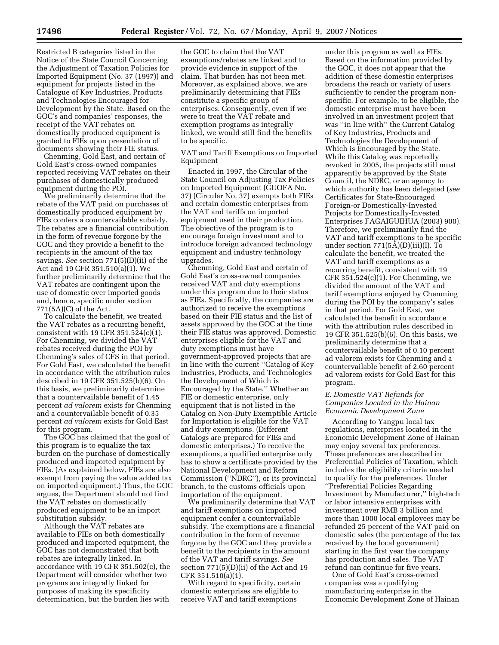Restricted B categories listed in the Notice of the State Council Concerning the Adjustment of Taxation Policies for Imported Equipment (No. 37 (1997)) and equipment for projects listed in the Catalogue of Key Industries, Products and Technologies Encouraged for Development by the State. Based on the GOC's and companies' responses, the receipt of the VAT rebates on domestically produced equipment is granted to FIEs upon presentation of documents showing their FIE status.

Chenming, Gold East, and certain of Gold East's cross-owned companies reported receiving VAT rebates on their purchases of domestically produced equipment during the POI.

We preliminarily determine that the rebate of the VAT paid on purchases of domestically produced equipment by FIEs confers a countervailable subsidy. The rebates are a financial contribution in the form of revenue forgone by the GOC and they provide a benefit to the recipients in the amount of the tax savings. *See* section 771(5)(D)(ii) of the Act and 19 CFR 351.510(a)(1). We further preliminarily determine that the VAT rebates are contingent upon the use of domestic over imported goods and, hence, specific under section 771(5A)(C) of the Act.

To calculate the benefit, we treated the VAT rebates as a recurring benefit, consistent with 19 CFR 351.524(c)(1). For Chenming, we divided the VAT rebates received during the POI by Chenming's sales of CFS in that period. For Gold East, we calculated the benefit in accordance with the attribution rules described in 19 CFR 351.525(b)(6). On this basis, we preliminarily determine that a countervailable benefit of 1.45 percent *ad valorem* exists for Chenming and a countervailable benefit of 0.35 percent *ad valorem* exists for Gold East for this program.

The GOC has claimed that the goal of this program is to equalize the tax burden on the purchase of domestically produced and imported equipment by FIEs. (As explained below, FIEs are also exempt from paying the value added tax on imported equipment.) Thus, the GOC argues, the Department should not find the VAT rebates on domestically produced equipment to be an import substitution subsidy.

Although the VAT rebates are available to FIEs on both domestically produced and imported equipment, the GOC has not demonstrated that both rebates are integrally linked. In accordance with 19 CFR 351.502(c), the Department will consider whether two programs are integrally linked for purposes of making its specificity determination, but the burden lies with

the GOC to claim that the VAT exemptions/rebates are linked and to provide evidence in support of the claim. That burden has not been met. Moreover, as explained above, we are preliminarily determining that FIEs constitute a specific group of enterprises. Consequently, even if we were to treat the VAT rebate and exemption programs as integrally linked, we would still find the benefits to be specific.

VAT and Tariff Exemptions on Imported Equipment

Enacted in 1997, the Circular of the State Council on Adjusting Tax Policies on Imported Equipment (GUOFA No. 37) (Circular No. 37) exempts both FIEs and certain domestic enterprises from the VAT and tariffs on imported equipment used in their production. The objective of the program is to encourage foreign investment and to introduce foreign advanced technology equipment and industry technology upgrades.

Chenming, Gold East and certain of Gold East's cross-owned companies received VAT and duty exemptions under this program due to their status as FIEs. Specifically, the companies are authorized to receive the exemptions based on their FIE status and the list of assets approved by the GOC at the time their FIE status was approved. Domestic enterprises eligible for the VAT and duty exemptions must have government-approved projects that are in line with the current ''Catalog of Key Industries, Products, and Technologies the Development of Which is Encouraged by the State.'' Whether an FIE or domestic enterprise, only equipment that is not listed in the Catalog on Non-Duty Exemptible Article for Importation is eligible for the VAT and duty exemptions. (Different Catalogs are prepared for FIEs and domestic enterprises.) To receive the exemptions, a qualified enterprise only has to show a certificate provided by the National Development and Reform Commission (''NDRC''), or its provincial branch, to the customs officials upon importation of the equipment.

We preliminarily determine that VAT and tariff exemptions on imported equipment confer a countervailable subsidy. The exemptions are a financial contribution in the form of revenue forgone by the GOC and they provide a benefit to the recipients in the amount of the VAT and tariff savings. *See*  section 771(5)(D)(ii) of the Act and 19 CFR 351.510(a)(1).

With regard to specificity, certain domestic enterprises are eligible to receive VAT and tariff exemptions

under this program as well as FIEs. Based on the information provided by the GOC, it does not appear that the addition of these domestic enterprises broadens the reach or variety of users sufficiently to render the program nonspecific. For example, to be eligible, the domestic enterprise must have been involved in an investment project that was ''in line with'' the Current Catalog of Key Industries, Products and Technologies the Development of Which is Encouraged by the State. While this Catalog was reportedly revoked in 2005, the projects still must apparently be approved by the State Council, the NDRC, or an agency to which authority has been delegated (*see*  Certificates for State-Encouraged Foreign-or Domestically-Invested Projects for Domestically-Invested Enterprises FAGAIGUIHUA (2003) 900). Therefore, we preliminarily find the VAT and tariff exemptions to be specific under section  $771(5\text{\AA})(D)(iii)(I)$ . To calculate the benefit, we treated the VAT and tariff exemptions as a recurring benefit, consistent with 19 CFR  $351.524(c)(1)$ . For Chenming, we divided the amount of the VAT and tariff exemptions enjoyed by Chenming during the POI by the company's sales in that period. For Gold East, we calculated the benefit in accordance with the attribution rules described in 19 CFR 351.525(b)(6). On this basis, we preliminarily determine that a countervailable benefit of 0.10 percent ad valorem exists for Chenming and a countervailable benefit of 2.60 percent ad valorem exists for Gold East for this program.

# *E. Domestic VAT Refunds for Companies Located in the Hainan Economic Development Zone*

According to Yangpu local tax regulations, enterprises located in the Economic Development Zone of Hainan may enjoy several tax preferences. These preferences are described in Preferential Policies of Taxation, which includes the eligibility criteria needed to qualify for the preferences. Under ''Preferential Policies Regarding Investment by Manufacturer,'' high-tech or labor intensive enterprises with investment over RMB 3 billion and more than 1000 local employees may be refunded 25 percent of the VAT paid on domestic sales (the percentage of the tax received by the local government) starting in the first year the company has production and sales. The VAT refund can continue for five years.

One of Gold East's cross-owned companies was a qualifying manufacturing enterprise in the Economic Development Zone of Hainan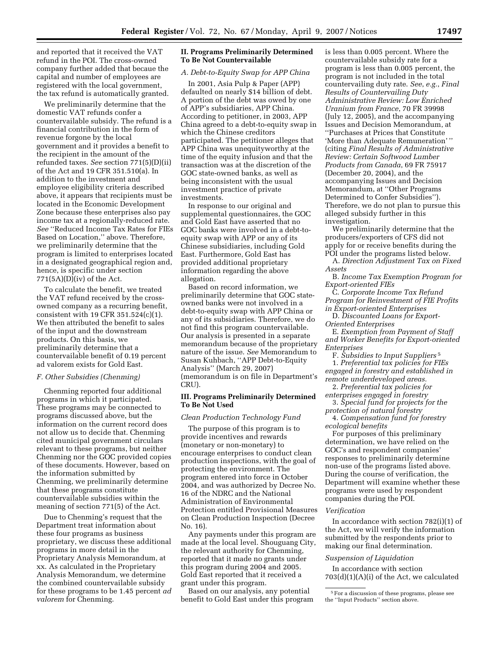and reported that it received the VAT refund in the POI. The cross-owned company further added that becaue the capital and number of employees are registered with the local government, the tax refund is automatically granted.

We preliminarily determine that the domestic VAT refunds confer a countervailable subsidy. The refund is a financial contribution in the form of revenue forgone by the local government and it provides a benefit to the recipient in the amount of the refunded taxes. *See* section 771(5)(D)(ii) of the Act and 19 CFR 351.510(a). In addition to the investment and employee eligibility criteria described above, it appears that recipients must be located in the Economic Development Zone because these enterprises also pay income tax at a regionally-reduced rate. *See* ''Reduced Income Tax Rates for FIEs Based on Location,'' above. Therefore, we preliminarily determine that the program is limited to enterprises located in a designated geographical region and, hence, is specific under section  $771(5A)(D)(iv)$  of the Act.

To calculate the benefit, we treated the VAT refund received by the crossowned company as a recurring benefit, consistent with 19 CFR 351.524(c)(1). We then attributed the benefit to sales of the input and the downstream products. On this basis, we preliminarily determine that a countervailable benefit of 0.19 percent ad valorem exists for Gold East.

### *F. Other Subsidies (Chenming)*

Chenming reported four additional programs in which it participated. These programs may be connected to programs discussed above, but the information on the current record does not allow us to decide that. Chenming cited municipal government circulars relevant to these programs, but neither Chenming nor the GOC provided copies of these documents. However, based on the information submitted by Chenming, we preliminarily determine that these programs constitute countervailable subsidies within the meaning of section 771(5) of the Act.

Due to Chenming's request that the Department treat information about these four programs as business proprietary, we discuss these additional programs in more detail in the Proprietary Analysis Memorandum, at xx. As calculated in the Proprietary Analysis Memorandum, we determine the combined countervailable subsidy for these programs to be 1.45 percent *ad valorem* for Chenming.

# **II. Programs Preliminarily Determined To Be Not Countervailable**

### *A. Debt-to-Equity Swap for APP China*

In 2001, Asia Pulp & Paper (APP) defaulted on nearly \$14 billion of debt. A portion of the debt was owed by one of APP's subsidiaries, APP China. According to petitioner, in 2003, APP China agreed to a debt-to-equity swap in which the Chinese creditors participated. The petitioner alleges that APP China was unequityworthy at the time of the equity infusion and that the transaction was at the discretion of the GOC state-owned banks, as well as being inconsistent with the usual investment practice of private investments.

In response to our original and supplemental questionnaires, the GOC and Gold East have asserted that no GOC banks were involved in a debt-toequity swap with APP or any of its Chinese subsidiaries, including Gold East. Furthermore, Gold East has provided additional proprietary information regarding the above allegation.

Based on record information, we preliminarily determine that GOC stateowned banks were not involved in a debt-to-equity swap with APP China or any of its subsidiaries. Therefore, we do not find this program countervailable. Our analysis is presented in a separate memorandum because of the proprietary nature of the issue. *See* Memorandum to Susan Kuhbach, ''APP Debt-to-Equity Analysis'' (March 29, 2007) (memorandum is on file in Department's CRU).

### **III. Programs Preliminarily Determined To Be Not Used**

### *Clean Production Technology Fund*

The purpose of this program is to provide incentives and rewards (monetary or non-monetary) to encourage enterprises to conduct clean production inspections, with the goal of protecting the environment. The program entered into force in October 2004, and was authorized by Decree No. 16 of the NDRC and the National Administration of Environmental Protection entitled Provisional Measures on Clean Production Inspection (Decree No. 16).

Any payments under this program are made at the local level. Shouguang City, the relevant authority for Chenming, reported that it made no grants under this program during 2004 and 2005. Gold East reported that it received a grant under this program.

Based on our analysis, any potential benefit to Gold East under this program is less than 0.005 percent. Where the countervailable subsidy rate for a program is less than 0.005 percent, the program is not included in the total countervailing duty rate. *See*, *e.g.*, *Final Results of Countervailing Duty Administrative Review: Low Enriched Uranium from France*, 70 FR 39998 (July 12, 2005), and the accompanying Issues and Decision Memorandum, at ''Purchases at Prices that Constitute 'More than Adequate Remuneration' '' (citing *Final Results of Administrative Review: Certain Softwood Lumber Products from Canada*, 69 FR 75917 (December 20, 2004), and the accompanying Issues and Decision Memorandum, at ''Other Programs Determined to Confer Subsidies''). Therefore, we do not plan to pursue this alleged subsidy further in this investigation.

We preliminarily determine that the producers/exporters of CFS did not apply for or receive benefits during the POI under the programs listed below.

A. *Direction Adjustment Tax on Fixed Assets* 

B. *Income Tax Exemption Program for Export-oriented FIEs* 

C. *Corporate Income Tax Refund Program for Reinvestment of FIE Profits in Export-oriented Enterprises* 

D. *Discounted Loans for Export-Oriented Enterprises* 

E. *Exemption from Payment of Staff and Worker Benefits for Export-oriented Enterprises* 

F. *Subsidies to Input Suppliers* 5 1. *Preferential tax policies for FIEs engaged in forestry and established in remote underdeveloped areas.* 

2. *Preferential tax policies for* 

*enterprises engaged in forestry*  3. *Special fund for projects for the* 

*protection of natural forestry*  4. *Compensation fund for forestry* 

*ecological benefits*  For purposes of this preliminary determination, we have relied on the GOC's and respondent companies' responses to preliminarily determine non-use of the programs listed above. During the course of verification, the Department will examine whether these programs were used by respondent companies during the POI.

# *Verification*

In accordance with section 782(i)(1) of the Act, we will verify the information submitted by the respondents prior to making our final determination.

### *Suspension of Liquidation*

In accordance with section 703(d)(1)(A)(i) of the Act, we calculated